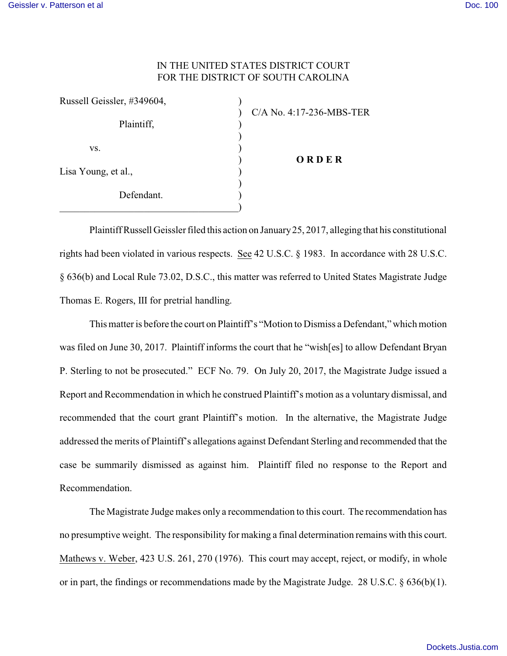## IN THE UNITED STATES DISTRICT COURT FOR THE DISTRICT OF SOUTH CAROLINA

| Russell Geissler, #349604, |                          |
|----------------------------|--------------------------|
| Plaintiff,                 | C/A No. 4:17-236-MBS-TER |
| VS.                        | ORDER                    |
| Lisa Young, et al.,        |                          |
| Defendant.                 |                          |
|                            |                          |

PlaintiffRussell Geissler filed this action on January25, 2017, alleging that his constitutional rights had been violated in various respects. See 42 U.S.C. § 1983. In accordance with 28 U.S.C. § 636(b) and Local Rule 73.02, D.S.C., this matter was referred to United States Magistrate Judge Thomas E. Rogers, III for pretrial handling.

This matter is before the court on Plaintiff's "Motion to Dismiss a Defendant," which motion was filed on June 30, 2017. Plaintiff informs the court that he "wish[es] to allow Defendant Bryan P. Sterling to not be prosecuted." ECF No. 79. On July 20, 2017, the Magistrate Judge issued a Report and Recommendation in which he construed Plaintiff's motion as a voluntary dismissal, and recommended that the court grant Plaintiff's motion. In the alternative, the Magistrate Judge addressed the merits of Plaintiff's allegations against Defendant Sterling and recommended that the case be summarily dismissed as against him. Plaintiff filed no response to the Report and Recommendation.

The Magistrate Judge makes only a recommendation to this court. The recommendation has no presumptive weight. The responsibility for making a final determination remains with this court. Mathews v. Weber, 423 U.S. 261, 270 (1976). This court may accept, reject, or modify, in whole or in part, the findings or recommendations made by the Magistrate Judge. 28 U.S.C. § 636(b)(1).